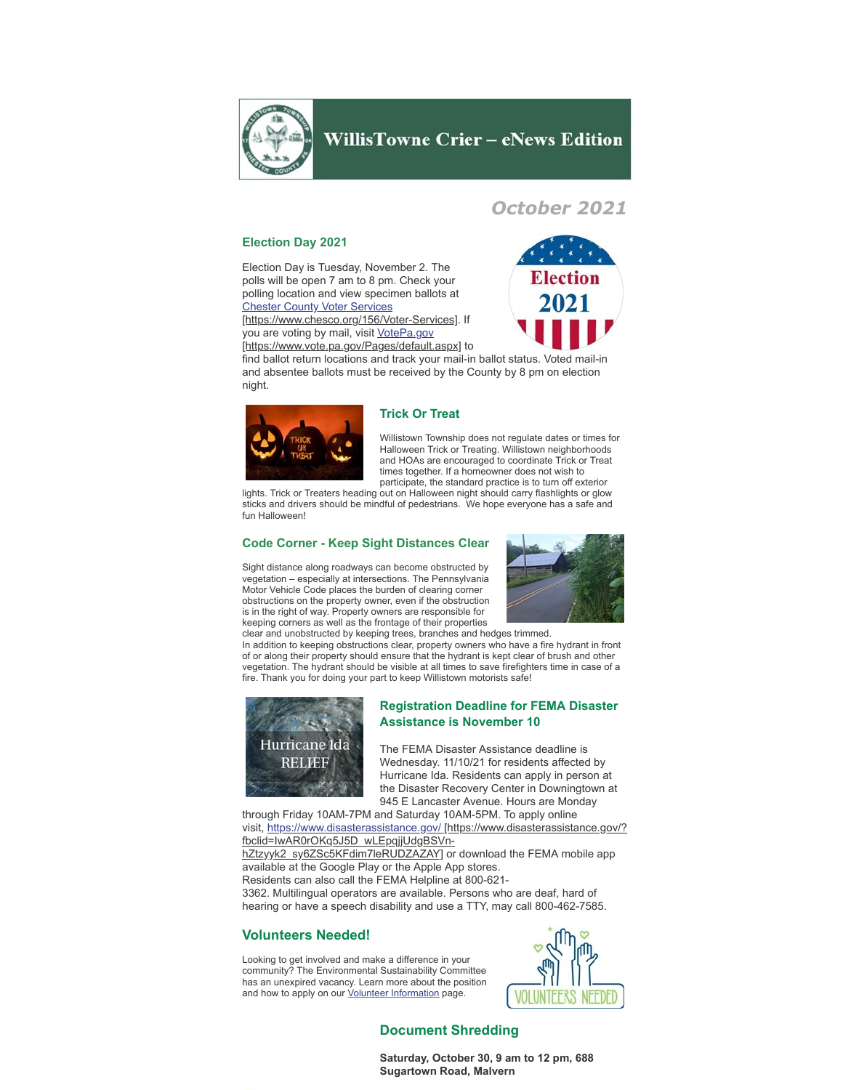

# **WillisTowne Crier - eNews Edition**

# *October 2021*

## **Election Day 2021**

Election Day is Tuesday, November 2. The polls will be open 7 am to 8 pm. Check your polling location and view specimen ballots at **Chester County Voter Services** 

[\[https://www.chesco.org/156/Voter-Services\]](https://www.chesco.org/156/Voter-Services). If you are voting by mail, visit VotePa.gov [\[https://www.vote.pa.gov/Pages/default.aspx\]](https://www.vote.pa.gov/Pages/default.aspx) to



find ballot return locations and track your mail-in ballot status. Voted mail-in and absentee ballots must be received by the County by 8 pm on election night.



### **Trick Or Treat**

Willistown Township does not regulate dates or times for Halloween Trick or Treating. Willistown neighborhoods and HOAs are encouraged to coordinate Trick or Treat times together. If a homeowner does not wish to participate, the standard practice is to turn off exterior

lights. Trick or Treaters heading out on Halloween night should carry flashlights or glow sticks and drivers should be mindful of pedestrians. We hope everyone has a safe and fun Halloween!

## **Code Corner - Keep Sight Distances Clear**

Sight distance along roadways can become obstructed by vegetation – especially at intersections. The Pennsylvania Motor Vehicle Code places the burden of clearing corner obstructions on the property owner, even if the obstruction is in the right of way. Property owners are responsible for keeping corners as well as the frontage of their properties



clear and unobstructed by keeping trees, branches and hedges trimmed. In addition to keeping obstructions clear, property owners who have a fire hydrant in front of or along their property should ensure that the hydrant is kept clear of brush and other vegetation. The hydrant should be visible at all times to save firefighters time in case of a fire. Thank you for doing your part to keep Willistown motorists safe!



### **Registration Deadline for FEMA Disaster Assistance is November 10**

The FEMA Disaster Assistance deadline is Wednesday. 11/10/21 for residents affected by Hurricane Ida. Residents can apply in person at the Disaster Recovery Center in Downingtown at 945 E Lancaster Avenue. Hours are Monday

through Friday 10AM-7PM and Saturday 10AM-5PM. To apply online visit, [https://www.disasterassistance.gov/ \[https://www.disasterassistance.gov/?](https://www.disasterassistance.gov/?fbclid=IwAR0rOKq5J5D_wLEpqjjUdgBSVn-hZtzyyk2_sy6ZSc5KFdim7leRUDZAZAY) fbclid=IwAR0rOKq5J5D\_wLEpqjjUdgBSVnhZtzyyk2\_sy6ZSc5KFdim7leRUDZAZAY] or download the FEMA mobile app

available at the Google Play or the Apple App stores. Residents can also call the FEMA Helpline at 800-621-

3362. Multilingual operators are available. Persons who are deaf, hard of hearing or have a speech disability and use a TTY, may call 800-462-7585.

## **Volunteers Needed!**

Looking to get involved and make a difference in your community? The Environmental Sustainability Committee has an unexpired vacancy. Learn more about the position and how to apply on our [Volunteer Information](https://www.willistown.pa.us/309/Volunteer-Information?fbclid=IwAR2srFI7BzuibTl7gg6K4Wwy5b17H8YVE3NlTLrJlHdKoW71m0_skIdPiVs) page.



## **Document Shredding**

**Saturday, October 30, 9 am to 12 pm, 688 Sugartown Road, Malvern**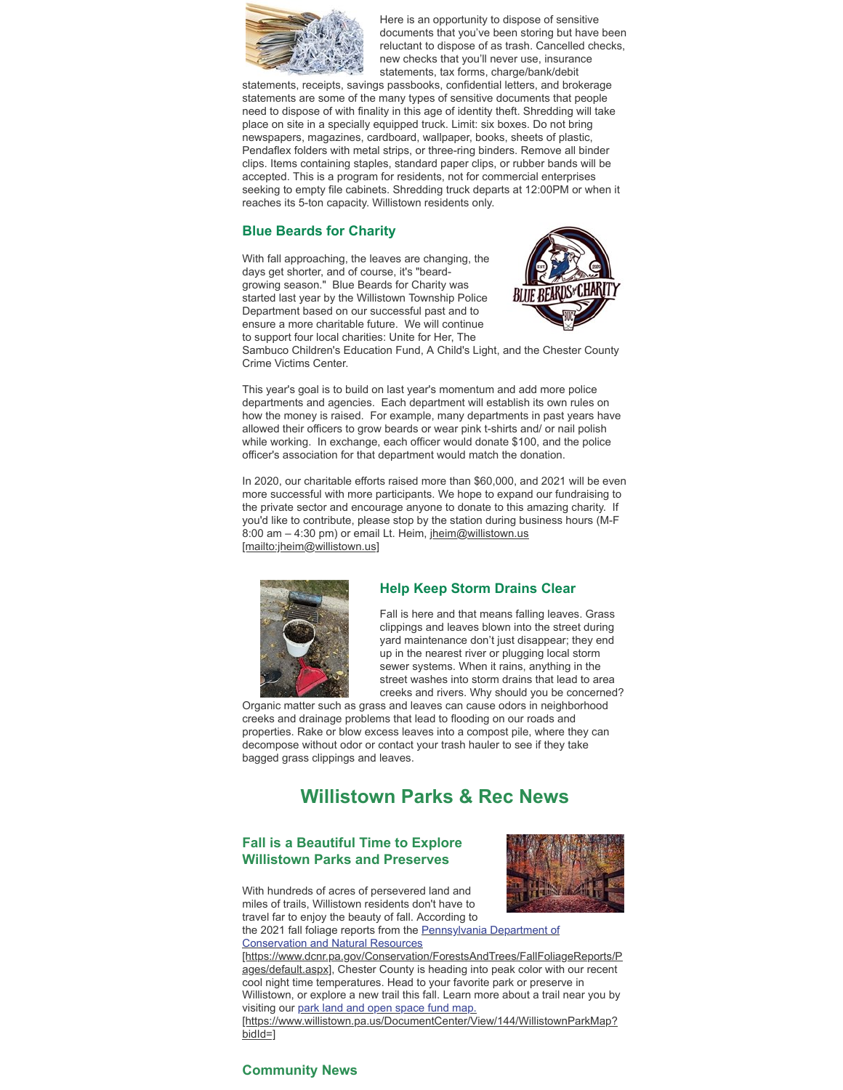

Here is an opportunity to dispose of sensitive documents that you've been storing but have been reluctant to dispose of as trash. Cancelled checks, new checks that you'll never use, insurance statements, tax forms, charge/bank/debit

statements, receipts, savings passbooks, confidential letters, and brokerage statements are some of the many types of sensitive documents that people need to dispose of with finality in this age of identity theft. Shredding will take place on site in a specially equipped truck. Limit: six boxes. Do not bring newspapers, magazines, cardboard, wallpaper, books, sheets of plastic, Pendaflex folders with metal strips, or three-ring binders. Remove all binder clips. Items containing staples, standard paper clips, or rubber bands will be accepted. This is a program for residents, not for commercial enterprises seeking to empty file cabinets. Shredding truck departs at 12:00PM or when it reaches its 5-ton capacity. Willistown residents only.

## **Blue Beards for Charity**

With fall approaching, the leaves are changing, the days get shorter, and of course, it's "beardgrowing season." Blue Beards for Charity was started last year by the Willistown Township Police Department based on our successful past and to ensure a more charitable future. We will continue to support four local charities: Unite for Her, The



Sambuco Children's Education Fund, A Child's Light, and the Chester County Crime Victims Center.

This year's goal is to build on last year's momentum and add more police departments and agencies. Each department will establish its own rules on how the money is raised. For example, many departments in past years have allowed their officers to grow beards or wear pink t-shirts and/ or nail polish while working. In exchange, each officer would donate \$100, and the police officer's association for that department would match the donation.

In 2020, our charitable efforts raised more than \$60,000, and 2021 will be even more successful with more participants. We hope to expand our fundraising to the private sector and encourage anyone to donate to this amazing charity. If you'd like to contribute, please stop by the station during business hours (M-F 8:00 am - 4:30 pm) or email Lt. Heim, jheim@willistown.us [mailto:jheim@willistown.us]



#### **Help Keep Storm Drains Clear**

Fall is here and that means falling leaves. Grass clippings and leaves blown into the street during yard maintenance don't just disappear; they end up in the nearest river or plugging local storm sewer systems. When it rains, anything in the street washes into storm drains that lead to area creeks and rivers. Why should you be concerned?

Organic matter such as grass and leaves can cause odors in neighborhood creeks and drainage problems that lead to flooding on our roads and properties. Rake or blow excess leaves into a compost pile, where they can decompose without odor or contact your trash hauler to see if they take bagged grass clippings and leaves.

# **Willistown Parks & Rec News**

## **Fall is a Beautiful Time to Explore Willistown Parks and Preserves**



With hundreds of acres of persevered land and miles of trails, Willistown residents don't have to travel far to enjoy the beauty of fall. According to

the 2021 fall foliage reports from the Pennsylvania Department of Conservation and Natural Resources

[\[https://www.dcnr.pa.gov/Conservation/ForestsAndTrees/FallFoliageReports/P](https://www.dcnr.pa.gov/Conservation/ForestsAndTrees/FallFoliageReports/Pages/default.aspx) ages/default.aspx], Chester County is heading into peak color with our recent cool night time temperatures. Head to your favorite park or preserve in Willistown, or explore a new trail this fall. Learn more about a trail near you by visiting our park land and open space fund map.

[\[https://www.willistown.pa.us/DocumentCenter/View/144/WillistownParkMap?](https://www.willistown.pa.us/DocumentCenter/View/144/WillistownParkMap?bidId=) bidId=1

## **Community News**